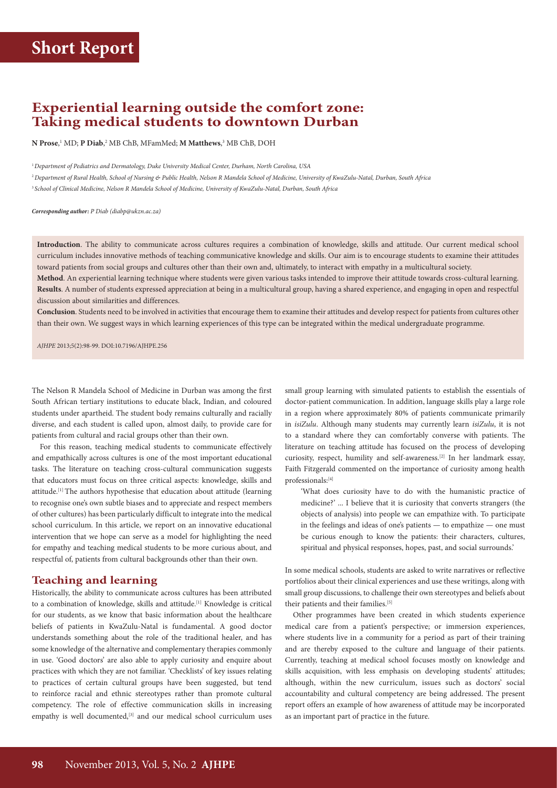# **Experiential learning outside the comfort zone: Taking medical students to downtown Durban**

**N Prose**, 1 MD; **P Diab**, 2 MB ChB, MFamMed; **M Matthews**, 3 MB ChB, DOH

<sup>1</sup>*Department of Pediatrics and Dermatology, Duke University Medical Center, Durham, North Carolina, USA* <sup>2</sup>*Department of Rural Health, School of Nursing & Public Health, Nelson R Mandela School of Medicine, University of KwaZulu-Natal, Durban, South Africa* <sup>3</sup>*School of Clinical Medicine, Nelson R Mandela School of Medicine, University of KwaZulu-Natal, Durban, South Africa*

*Corresponding author: P Diab ([diabp@ukzn.ac.za\)](mailto:diabp@ukzn.ac.za)*

**Introduction**. The ability to communicate across cultures requires a combination of knowledge, skills and attitude. Our current medical school curriculum includes innovative methods of teaching communicative knowledge and skills. Our aim is to encourage students to examine their attitudes toward patients from social groups and cultures other than their own and, ultimately, to interact with empathy in a multicultural society.

**Method**. An experiential learning technique where students were given various tasks intended to improve their attitude towards cross-cultural learning. **Results**. A number of students expressed appreciation at being in a multicultural group, having a shared experience, and engaging in open and respectful discussion about similarities and differences.

**Conclusion**. Students need to be involved in activities that encourage them to examine their attitudes and develop respect for patients from cultures other than their own. We suggest ways in which learning experiences of this type can be integrated within the medical undergraduate programme.

*AJHPE* 2013;5(2):98-99. DOI:10.7196/AJHPE.256

The Nelson R Mandela School of Medicine in Durban was among the first South African tertiary institutions to educate black, Indian, and coloured students under apartheid. The student body remains culturally and racially diverse, and each student is called upon, almost daily, to provide care for patients from cultural and racial groups other than their own.

For this reason, teaching medical students to communicate effectively and empathically across cultures is one of the most important educational tasks. The literature on teaching cross-cultural communication suggests that educators must focus on three critical aspects: knowledge, skills and attitude.[1] The authors hypothesise that education about attitude (learning to recognise one's own subtle biases and to appreciate and respect members of other cultures) has been particularly difficult to integrate into the medical school curriculum. In this article, we report on an innovative educational intervention that we hope can serve as a model for highlighting the need for empathy and teaching medical students to be more curious about, and respectful of, patients from cultural backgrounds other than their own.

#### **Teaching and learning**

Historically, the ability to communicate across cultures has been attributed to a combination of knowledge, skills and attitude.[1] Knowledge is critical for our students, as we know that basic information about the healthcare beliefs of patients in KwaZulu-Natal is fundamental. A good doctor understands something about the role of the traditional healer, and has some knowledge of the alternative and complementary therapies commonly in use. 'Good doctors' are also able to apply curiosity and enquire about practices with which they are not familiar. 'Checklists' of key issues relating to practices of certain cultural groups have been suggested, but tend to reinforce racial and ethnic stereotypes rather than promote cultural competency. The role of effective communication skills in increasing empathy is well documented,<sup>[3]</sup> and our medical school curriculum uses

small group learning with simulated patients to establish the essentials of doctor-patient communication. In addition, language skills play a large role in a region where approximately 80% of patients communicate primarily in *isiZulu*. Although many students may currently learn *isiZulu*, it is not to a standard where they can comfortably converse with patients. The literature on teaching attitude has focused on the process of developing curiosity, respect, humility and self-awareness.[2] In her landmark essay, Faith Fitzgerald commented on the importance of curiosity among health professionals:[4]

'What does curiosity have to do with the humanistic practice of medicine?' ... I believe that it is curiosity that converts strangers (the objects of analysis) into people we can empathize with. To participate in the feelings and ideas of one's patients — to empathize — one must be curious enough to know the patients: their characters, cultures, spiritual and physical responses, hopes, past, and social surrounds.'

In some medical schools, students are asked to write narratives or reflective portfolios about their clinical experiences and use these writings, along with small group discussions, to challenge their own stereotypes and beliefs about their patients and their families.<sup>[5]</sup>

Other programmes have been created in which students experience medical care from a patient's perspective; or immersion experiences, where students live in a community for a period as part of their training and are thereby exposed to the culture and language of their patients. Currently, teaching at medical school focuses mostly on knowledge and skills acquisition, with less emphasis on developing students' attitudes; although, within the new curriculum, issues such as doctors' social accountability and cultural competency are being addressed. The present report offers an example of how awareness of attitude may be incorporated as an important part of practice in the future.